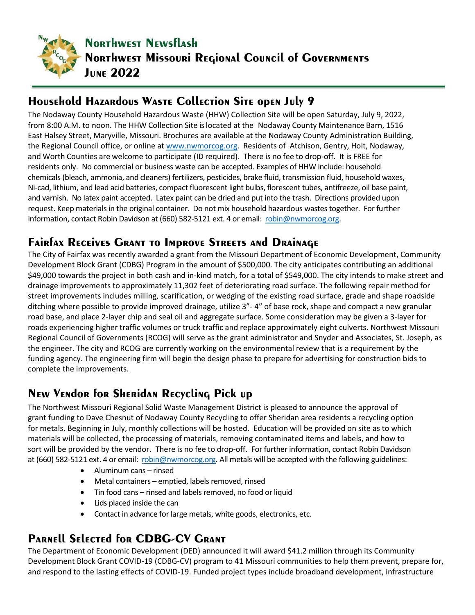

## **Household Hazardous Waste Collection Site open July 9**

The Nodaway County Household Hazardous Waste (HHW) Collection Site will be open Saturday, July 9, 2022, from 8:00 A.M. to noon. The HHW Collection Site is located at the Nodaway County Maintenance Barn, 1516 East Halsey Street, Maryville, Missouri. Brochures are available at the Nodaway County Administration Building, the Regional Council office, or online at [www.nwmorcog.org.](https://nam04.safelinks.protection.outlook.com/?url=http%3A%2F%2Fwww.nwmorcog.org%2F&data=05%7C01%7Csteve%40nwmorcog.org%7Cab9c83c2bd82402ba9ec08da5485c80d%7C57c6f52d3531437bb0114809a0290b4c%7C0%7C0%7C637915230816331451%7CUnknown%7CTWFpbGZsb3d8eyJWIjoiMC4wLjAwMDAiLCJQIjoiV2luMzIiLCJBTiI6Ik1haWwiLCJXVCI6Mn0%3D%7C3000%7C%7C%7C&sdata=94Y7cyFWG%2B8YwKdiBDmP9HvAKEt797vxIHM5CvXUu%2FM%3D&reserved=0) Residents of Atchison, Gentry, Holt, Nodaway, and Worth Counties are welcome to participate (ID required). There is no fee to drop-off. It is FREE for residents only. No commercial or business waste can be accepted. Examples of HHW include: household chemicals (bleach, ammonia, and cleaners) fertilizers, pesticides, brake fluid, transmission fluid, household waxes, Ni-cad, lithium, and lead acid batteries, compact fluorescent light bulbs, florescent tubes, antifreeze, oil base paint, and varnish. No latex paint accepted. Latex paint can be dried and put into the trash. Directions provided upon request. Keep materials in the original container. Do not mix household hazardous wastes together. For further information, contact Robin Davidson at (660) 582-5121 ext. 4 or email: [robin@nwmorcog.org.](mailto:robin@nwmorcog.org)

## **Fairfax Receives Grant to Improve Streets and Drainage**

The City of Fairfax was recently awarded a grant from the Missouri Department of Economic Development, Community Development Block Grant (CDBG) Program in the amount of \$500,000. The city anticipates contributing an additional \$49,000 towards the project in both cash and in-kind match, for a total of \$549,000. The city intends to make street and drainage improvements to approximately 11,302 feet of deteriorating road surface. The following repair method for street improvements includes milling, scarification, or wedging of the existing road surface, grade and shape roadside ditching where possible to provide improved drainage, utilize 3"- 4" of base rock, shape and compact a new granular road base, and place 2-layer chip and seal oil and aggregate surface. Some consideration may be given a 3-layer for roads experiencing higher traffic volumes or truck traffic and replace approximately eight culverts. Northwest Missouri Regional Council of Governments (RCOG) will serve as the grant administrator and Snyder and Associates, St. Joseph, as the engineer. The city and RCOG are currently working on the environmental review that is a requirement by the funding agency. The engineering firm will begin the design phase to prepare for advertising for construction bids to complete the improvements.

# **New Vendor for Sheridan Recycling Pick up**

The Northwest Missouri Regional Solid Waste Management District is pleased to announce the approval of grant funding to Dave Chesnut of Nodaway County Recycling to offer Sheridan area residents a recycling option for metals. Beginning in July, monthly collections will be hosted. Education will be provided on site as to which materials will be collected, the processing of materials, removing contaminated items and labels, and how to sort will be provided by the vendor. There is no fee to drop-off. For further information, contact Robin Davidson at (660) 582-5121 ext. 4 or email: [robin@nwmorcog.org.](mailto:robin@nwmorcog.org) All metals will be accepted with the following guidelines:

- Aluminum cans rinsed
- Metal containers emptied, labels removed, rinsed
- Tin food cans rinsed and labels removed, no food or liquid
- Lids placed inside the can
- Contact in advance for large metals, white goods, electronics, etc.

## **Parnell Selected for CDBG-CV Grant**

The Department of Economic Development (DED) announced it will award \$41.2 million through its Community Development Block Grant COVID-19 (CDBG-CV) program to 41 Missouri communities to help them prevent, prepare for, and respond to the lasting effects of COVID-19. Funded project types include broadband development, infrastructure